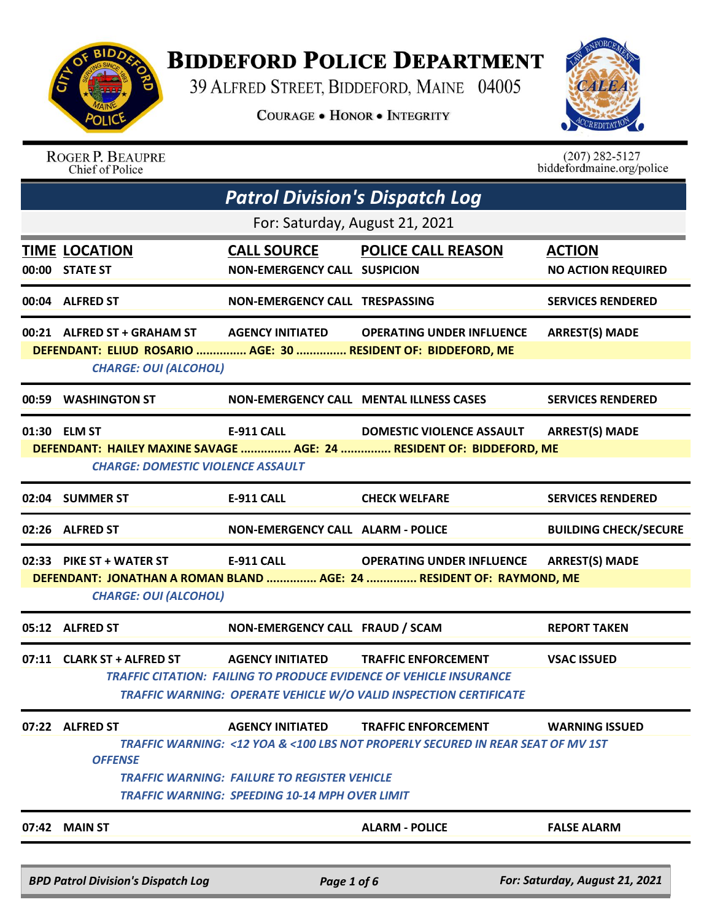

## **BIDDEFORD POLICE DEPARTMENT**

39 ALFRED STREET, BIDDEFORD, MAINE 04005

**COURAGE . HONOR . INTEGRITY** 



|       | 07:22 ALFRED ST<br><b>OFFENSE</b><br>07:42 MAIN ST                                           | <b>AGENCY INITIATED</b><br><b>AGENCY INITIATED</b><br><b>TRAFFIC WARNING: FAILURE TO REGISTER VEHICLE</b><br><b>TRAFFIC WARNING: SPEEDING 10-14 MPH OVER LIMIT</b> | <b>TRAFFIC ENFORCEMENT</b><br>TRAFFIC CITATION:  FAILING TO PRODUCE EVIDENCE OF VEHICLE INSURANCE<br><b>TRAFFIC WARNING: OPERATE VEHICLE W/O VALID INSPECTION CERTIFICATE</b><br><b>TRAFFIC ENFORCEMENT</b><br>TRAFFIC WARNING: <12 YOA & <100 LBS NOT PROPERLY SECURED IN REAR SEAT OF MV 1ST<br><b>ALARM - POLICE</b> | <b>VSAC ISSUED</b><br><b>WARNING ISSUED</b><br><b>FALSE ALARM</b> |
|-------|----------------------------------------------------------------------------------------------|--------------------------------------------------------------------------------------------------------------------------------------------------------------------|-------------------------------------------------------------------------------------------------------------------------------------------------------------------------------------------------------------------------------------------------------------------------------------------------------------------------|-------------------------------------------------------------------|
|       |                                                                                              |                                                                                                                                                                    |                                                                                                                                                                                                                                                                                                                         |                                                                   |
|       |                                                                                              |                                                                                                                                                                    |                                                                                                                                                                                                                                                                                                                         |                                                                   |
|       |                                                                                              |                                                                                                                                                                    |                                                                                                                                                                                                                                                                                                                         |                                                                   |
|       |                                                                                              |                                                                                                                                                                    |                                                                                                                                                                                                                                                                                                                         |                                                                   |
|       |                                                                                              |                                                                                                                                                                    |                                                                                                                                                                                                                                                                                                                         |                                                                   |
|       |                                                                                              |                                                                                                                                                                    |                                                                                                                                                                                                                                                                                                                         |                                                                   |
|       | 07:11 CLARK ST + ALFRED ST                                                                   |                                                                                                                                                                    |                                                                                                                                                                                                                                                                                                                         |                                                                   |
|       | 05:12 ALFRED ST                                                                              | NON-EMERGENCY CALL FRAUD / SCAM                                                                                                                                    |                                                                                                                                                                                                                                                                                                                         | <b>REPORT TAKEN</b>                                               |
|       | <b>CHARGE: OUI (ALCOHOL)</b>                                                                 |                                                                                                                                                                    |                                                                                                                                                                                                                                                                                                                         |                                                                   |
|       | 02:33 PIKE ST + WATER ST                                                                     |                                                                                                                                                                    | <b>OPERATING UNDER INFLUENCE</b><br>DEFENDANT: JONATHAN A ROMAN BLAND  AGE: 24  RESIDENT OF: RAYMOND, ME                                                                                                                                                                                                                | <b>ARREST(S) MADE</b>                                             |
|       |                                                                                              | <b>E-911 CALL</b>                                                                                                                                                  |                                                                                                                                                                                                                                                                                                                         |                                                                   |
|       | 02:26 ALFRED ST                                                                              | <b>NON-EMERGENCY CALL ALARM - POLICE</b>                                                                                                                           |                                                                                                                                                                                                                                                                                                                         | <b>BUILDING CHECK/SECURE</b>                                      |
| 02:04 | <b>SUMMER ST</b>                                                                             | <b>E-911 CALL</b>                                                                                                                                                  | <b>CHECK WELFARE</b>                                                                                                                                                                                                                                                                                                    | <b>SERVICES RENDERED</b>                                          |
|       | <b>CHARGE: DOMESTIC VIOLENCE ASSAULT</b>                                                     |                                                                                                                                                                    |                                                                                                                                                                                                                                                                                                                         |                                                                   |
|       |                                                                                              |                                                                                                                                                                    | DEFENDANT: HAILEY MAXINE SAVAGE  AGE: 24  RESIDENT OF: BIDDEFORD, ME                                                                                                                                                                                                                                                    |                                                                   |
|       | 01:30 ELM ST                                                                                 | <b>E-911 CALL</b>                                                                                                                                                  | <b>DOMESTIC VIOLENCE ASSAULT</b>                                                                                                                                                                                                                                                                                        | <b>ARREST(S) MADE</b>                                             |
|       | 00:59 WASHINGTON ST                                                                          |                                                                                                                                                                    | <b>NON-EMERGENCY CALL MENTAL ILLNESS CASES</b>                                                                                                                                                                                                                                                                          | <b>SERVICES RENDERED</b>                                          |
|       | <b>CHARGE: OUI (ALCOHOL)</b>                                                                 |                                                                                                                                                                    |                                                                                                                                                                                                                                                                                                                         |                                                                   |
|       | 00:21 ALFRED ST + GRAHAM ST<br>DEFENDANT: ELIUD ROSARIO  AGE: 30  RESIDENT OF: BIDDEFORD, ME |                                                                                                                                                                    | AGENCY INITIATED OPERATING UNDER INFLUENCE                                                                                                                                                                                                                                                                              | <b>ARREST(S) MADE</b>                                             |
|       | 00:04 ALFRED ST                                                                              | NON-EMERGENCY CALL TRESPASSING                                                                                                                                     |                                                                                                                                                                                                                                                                                                                         | <b>SERVICES RENDERED</b>                                          |
|       |                                                                                              |                                                                                                                                                                    |                                                                                                                                                                                                                                                                                                                         |                                                                   |
| 00:00 | <b>TIME LOCATION</b><br><b>STATE ST</b>                                                      | <b>CALL SOURCE</b><br><b>NON-EMERGENCY CALL SUSPICION</b>                                                                                                          | <b>POLICE CALL REASON</b>                                                                                                                                                                                                                                                                                               | <b>ACTION</b><br><b>NO ACTION REQUIRED</b>                        |
|       |                                                                                              | For: Saturday, August 21, 2021                                                                                                                                     |                                                                                                                                                                                                                                                                                                                         |                                                                   |
|       |                                                                                              | <b>Patrol Division's Dispatch Log</b>                                                                                                                              |                                                                                                                                                                                                                                                                                                                         |                                                                   |
|       |                                                                                              |                                                                                                                                                                    |                                                                                                                                                                                                                                                                                                                         |                                                                   |
|       | Chief of Police                                                                              |                                                                                                                                                                    |                                                                                                                                                                                                                                                                                                                         | biddefordmaine.org/police                                         |

*BPD Patrol Division's Dispatch Log Page 1 of 6 For: Saturday, August 21, 2021*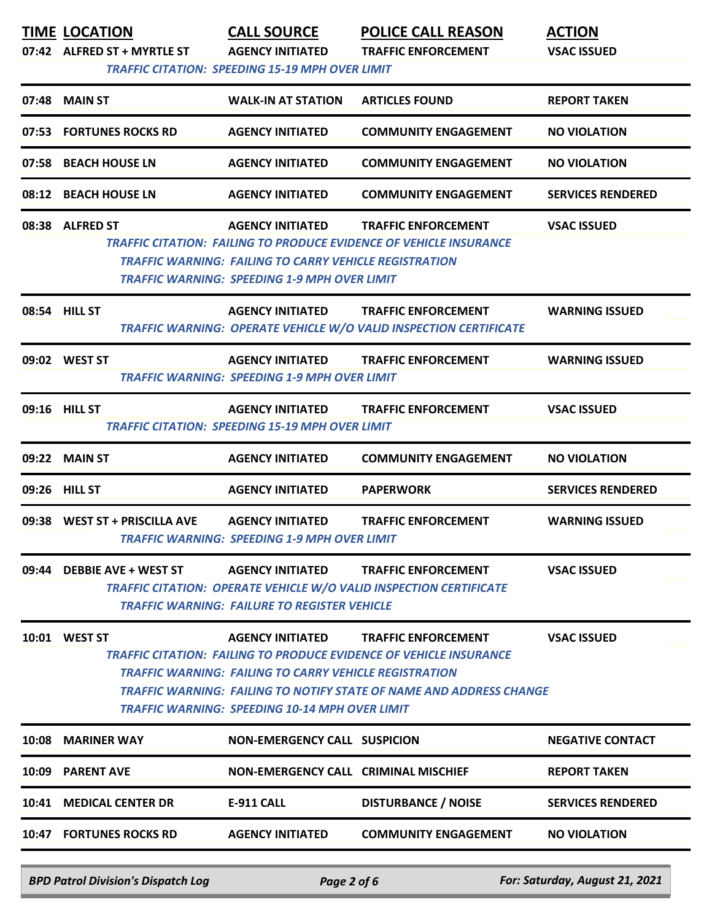|       | <b>TIME LOCATION</b><br>07:42 ALFRED ST + MYRTLE ST | <b>CALL SOURCE</b><br><b>AGENCY INITIATED</b><br><b>TRAFFIC CITATION: SPEEDING 15-19 MPH OVER LIMIT</b>                                           | <b>POLICE CALL REASON</b><br><b>TRAFFIC ENFORCEMENT</b>                                                                                                                               | <b>ACTION</b><br><b>VSAC ISSUED</b> |
|-------|-----------------------------------------------------|---------------------------------------------------------------------------------------------------------------------------------------------------|---------------------------------------------------------------------------------------------------------------------------------------------------------------------------------------|-------------------------------------|
|       | 07:48 MAIN ST                                       | <b>WALK-IN AT STATION</b>                                                                                                                         | <b>ARTICLES FOUND</b>                                                                                                                                                                 | <b>REPORT TAKEN</b>                 |
| 07:53 | <b>FORTUNES ROCKS RD</b>                            | <b>AGENCY INITIATED</b>                                                                                                                           | <b>COMMUNITY ENGAGEMENT</b>                                                                                                                                                           | <b>NO VIOLATION</b>                 |
|       | 07:58 BEACH HOUSE LN                                | <b>AGENCY INITIATED</b>                                                                                                                           | <b>COMMUNITY ENGAGEMENT</b>                                                                                                                                                           | <b>NO VIOLATION</b>                 |
|       | 08:12 BEACH HOUSE LN                                | <b>AGENCY INITIATED</b>                                                                                                                           | <b>COMMUNITY ENGAGEMENT</b>                                                                                                                                                           | <b>SERVICES RENDERED</b>            |
|       | 08:38 ALFRED ST                                     | <b>AGENCY INITIATED</b><br>TRAFFIC WARNING: FAILING TO CARRY VEHICLE REGISTRATION<br><b>TRAFFIC WARNING: SPEEDING 1-9 MPH OVER LIMIT</b>          | <b>TRAFFIC ENFORCEMENT</b><br><b>TRAFFIC CITATION: FAILING TO PRODUCE EVIDENCE OF VEHICLE INSURANCE</b>                                                                               | <b>VSAC ISSUED</b>                  |
|       | 08:54 HILL ST                                       | <b>AGENCY INITIATED</b>                                                                                                                           | <b>TRAFFIC ENFORCEMENT</b><br><b>TRAFFIC WARNING: OPERATE VEHICLE W/O VALID INSPECTION CERTIFICATE</b>                                                                                | <b>WARNING ISSUED</b>               |
|       | 09:02 WEST ST                                       | <b>AGENCY INITIATED</b><br><b>TRAFFIC WARNING: SPEEDING 1-9 MPH OVER LIMIT</b>                                                                    | <b>TRAFFIC ENFORCEMENT</b>                                                                                                                                                            | <b>WARNING ISSUED</b>               |
|       | 09:16 HILL ST                                       | <b>AGENCY INITIATED</b><br><b>TRAFFIC CITATION: SPEEDING 15-19 MPH OVER LIMIT</b>                                                                 | <b>TRAFFIC ENFORCEMENT</b>                                                                                                                                                            | <b>VSAC ISSUED</b>                  |
|       | 09:22 MAIN ST                                       | <b>AGENCY INITIATED</b>                                                                                                                           | <b>COMMUNITY ENGAGEMENT</b>                                                                                                                                                           | <b>NO VIOLATION</b>                 |
|       | 09:26 HILL ST                                       | <b>AGENCY INITIATED</b>                                                                                                                           | <b>PAPERWORK</b>                                                                                                                                                                      | <b>SERVICES RENDERED</b>            |
|       | 09:38 WEST ST + PRISCILLA AVE                       | <b>AGENCY INITIATED</b><br><b>TRAFFIC WARNING: SPEEDING 1-9 MPH OVER LIMIT</b>                                                                    | <b>TRAFFIC ENFORCEMENT</b>                                                                                                                                                            | <b>WARNING ISSUED</b>               |
| 09:44 | <b>DEBBIE AVE + WEST ST</b>                         | <b>AGENCY INITIATED</b><br><b>TRAFFIC WARNING: FAILURE TO REGISTER VEHICLE</b>                                                                    | <b>TRAFFIC ENFORCEMENT</b><br><b>TRAFFIC CITATION: OPERATE VEHICLE W/O VALID INSPECTION CERTIFICATE</b>                                                                               | <b>VSAC ISSUED</b>                  |
|       | 10:01 WEST ST                                       | <b>AGENCY INITIATED</b><br><b>TRAFFIC WARNING: FAILING TO CARRY VEHICLE REGISTRATION</b><br><b>TRAFFIC WARNING: SPEEDING 10-14 MPH OVER LIMIT</b> | <b>TRAFFIC ENFORCEMENT</b><br><b>TRAFFIC CITATION: FAILING TO PRODUCE EVIDENCE OF VEHICLE INSURANCE</b><br><b>TRAFFIC WARNING: FAILING TO NOTIFY STATE OF NAME AND ADDRESS CHANGE</b> | <b>VSAC ISSUED</b>                  |
|       | 10:08 MARINER WAY                                   | <b>NON-EMERGENCY CALL SUSPICION</b>                                                                                                               |                                                                                                                                                                                       | <b>NEGATIVE CONTACT</b>             |
| 10:09 | <b>PARENT AVE</b>                                   | NON-EMERGENCY CALL CRIMINAL MISCHIEF                                                                                                              |                                                                                                                                                                                       | <b>REPORT TAKEN</b>                 |
|       | 10:41 MEDICAL CENTER DR                             | <b>E-911 CALL</b>                                                                                                                                 | <b>DISTURBANCE / NOISE</b>                                                                                                                                                            | <b>SERVICES RENDERED</b>            |
|       | <b>10:47 FORTUNES ROCKS RD</b>                      | <b>AGENCY INITIATED</b>                                                                                                                           | <b>COMMUNITY ENGAGEMENT</b>                                                                                                                                                           | <b>NO VIOLATION</b>                 |
|       | <b>BPD Patrol Division's Dispatch Log</b>           | Page 2 of 6                                                                                                                                       |                                                                                                                                                                                       | For: Saturday, August 21, 2021      |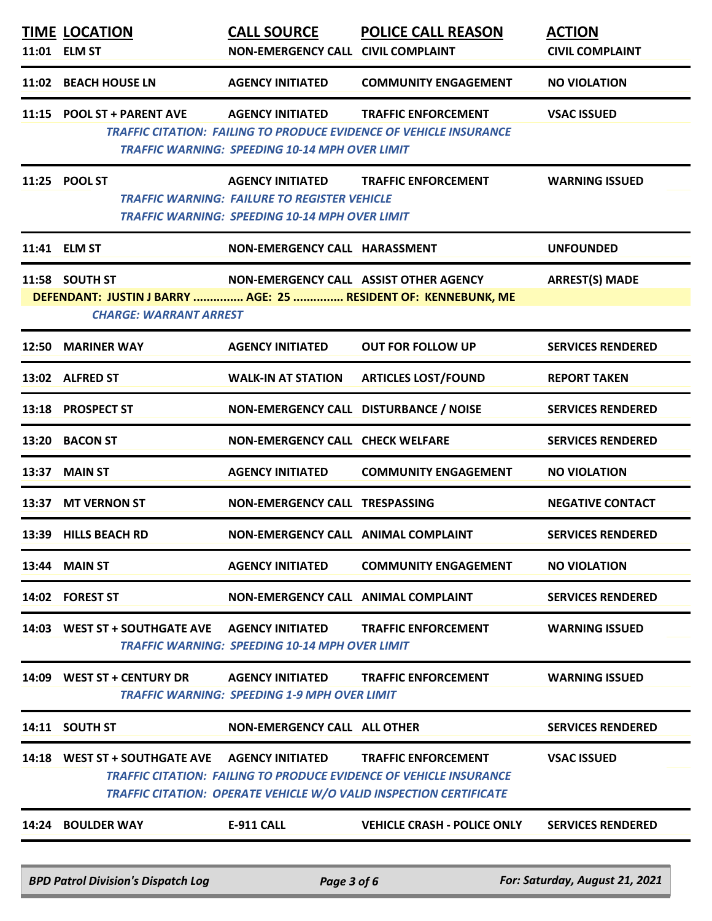|       | <b>BPD Patrol Division's Dispatch Log</b>                                                       | Page 3 of 6                                                                                                                      |                                                                                                                                                        | For: Saturday, August 21, 2021          |
|-------|-------------------------------------------------------------------------------------------------|----------------------------------------------------------------------------------------------------------------------------------|--------------------------------------------------------------------------------------------------------------------------------------------------------|-----------------------------------------|
| 14:24 | <b>BOULDER WAY</b>                                                                              | <b>E-911 CALL</b>                                                                                                                | <b>VEHICLE CRASH - POLICE ONLY</b>                                                                                                                     | <b>SERVICES RENDERED</b>                |
|       |                                                                                                 |                                                                                                                                  | <b>TRAFFIC CITATION: FAILING TO PRODUCE EVIDENCE OF VEHICLE INSURANCE</b><br><b>TRAFFIC CITATION: OPERATE VEHICLE W/O VALID INSPECTION CERTIFICATE</b> |                                         |
|       |                                                                                                 |                                                                                                                                  | <b>TRAFFIC ENFORCEMENT</b>                                                                                                                             | <b>VSAC ISSUED</b>                      |
|       | 14:11 SOUTH ST                                                                                  | NON-EMERGENCY CALL ALL OTHER                                                                                                     |                                                                                                                                                        | <b>SERVICES RENDERED</b>                |
|       | 14:09 WEST ST + CENTURY DR                                                                      | <b>AGENCY INITIATED</b><br><b>TRAFFIC WARNING: SPEEDING 1-9 MPH OVER LIMIT</b>                                                   | <b>TRAFFIC ENFORCEMENT</b>                                                                                                                             | <b>WARNING ISSUED</b>                   |
|       | 14:03 WEST ST + SOUTHGATE AVE                                                                   | <b>AGENCY INITIATED</b><br><b>TRAFFIC WARNING: SPEEDING 10-14 MPH OVER LIMIT</b>                                                 | <b>TRAFFIC ENFORCEMENT</b>                                                                                                                             | <b>WARNING ISSUED</b>                   |
|       | 14:02 FOREST ST                                                                                 | NON-EMERGENCY CALL ANIMAL COMPLAINT                                                                                              |                                                                                                                                                        | <b>SERVICES RENDERED</b>                |
|       | 13:44 MAIN ST                                                                                   | <b>AGENCY INITIATED</b>                                                                                                          | <b>COMMUNITY ENGAGEMENT</b>                                                                                                                            | <b>NO VIOLATION</b>                     |
|       | 13:39 HILLS BEACH RD                                                                            | NON-EMERGENCY CALL ANIMAL COMPLAINT                                                                                              |                                                                                                                                                        | <b>SERVICES RENDERED</b>                |
|       | 13:37 MT VERNON ST                                                                              | NON-EMERGENCY CALL TRESPASSING                                                                                                   |                                                                                                                                                        | <b>NEGATIVE CONTACT</b>                 |
|       | <b>13:37 MAIN ST</b>                                                                            | <b>AGENCY INITIATED</b>                                                                                                          | <b>COMMUNITY ENGAGEMENT</b>                                                                                                                            | <b>NO VIOLATION</b>                     |
|       | 13:20 BACON ST                                                                                  | NON-EMERGENCY CALL CHECK WELFARE                                                                                                 |                                                                                                                                                        | <b>SERVICES RENDERED</b>                |
|       | 13:18 PROSPECT ST                                                                               | NON-EMERGENCY CALL DISTURBANCE / NOISE                                                                                           |                                                                                                                                                        | <b>SERVICES RENDERED</b>                |
|       | 13:02 ALFRED ST                                                                                 | WALK-IN AT STATION                                                                                                               | <b>ARTICLES LOST/FOUND</b>                                                                                                                             | <b>REPORT TAKEN</b>                     |
|       | 12:50 MARINER WAY                                                                               | <b>AGENCY INITIATED</b>                                                                                                          | <b>OUT FOR FOLLOW UP</b>                                                                                                                               | <b>SERVICES RENDERED</b>                |
|       | DEFENDANT: JUSTIN J BARRY  AGE: 25  RESIDENT OF: KENNEBUNK, ME<br><b>CHARGE: WARRANT ARREST</b> |                                                                                                                                  |                                                                                                                                                        |                                         |
|       | 11:58 SOUTH ST                                                                                  | NON-EMERGENCY CALL ASSIST OTHER AGENCY                                                                                           |                                                                                                                                                        | <b>ARREST(S) MADE</b>                   |
|       | 11:41 ELM ST                                                                                    | NON-EMERGENCY CALL HARASSMENT                                                                                                    |                                                                                                                                                        | <b>UNFOUNDED</b>                        |
|       | 11:25 POOL ST                                                                                   | <b>AGENCY INITIATED</b><br><b>TRAFFIC WARNING: FAILURE TO REGISTER VEHICLE</b><br>TRAFFIC WARNING: SPEEDING 10-14 MPH OVER LIMIT | <b>TRAFFIC ENFORCEMENT</b>                                                                                                                             | <b>WARNING ISSUED</b>                   |
|       | 11:15 POOL ST + PARENT AVE                                                                      | <b>AGENCY INITIATED</b><br><b>TRAFFIC WARNING: SPEEDING 10-14 MPH OVER LIMIT</b>                                                 | <b>TRAFFIC ENFORCEMENT</b><br><b>TRAFFIC CITATION: FAILING TO PRODUCE EVIDENCE OF VEHICLE INSURANCE</b>                                                | <b>VSAC ISSUED</b>                      |
|       | 11:02 BEACH HOUSE LN                                                                            | <b>AGENCY INITIATED</b>                                                                                                          | <b>COMMUNITY ENGAGEMENT</b>                                                                                                                            | <b>NO VIOLATION</b>                     |
|       | <b>TIME LOCATION</b><br>11:01 ELM ST                                                            | <b>CALL SOURCE</b><br>NON-EMERGENCY CALL CIVIL COMPLAINT                                                                         | <b>POLICE CALL REASON</b>                                                                                                                              | <b>ACTION</b><br><b>CIVIL COMPLAINT</b> |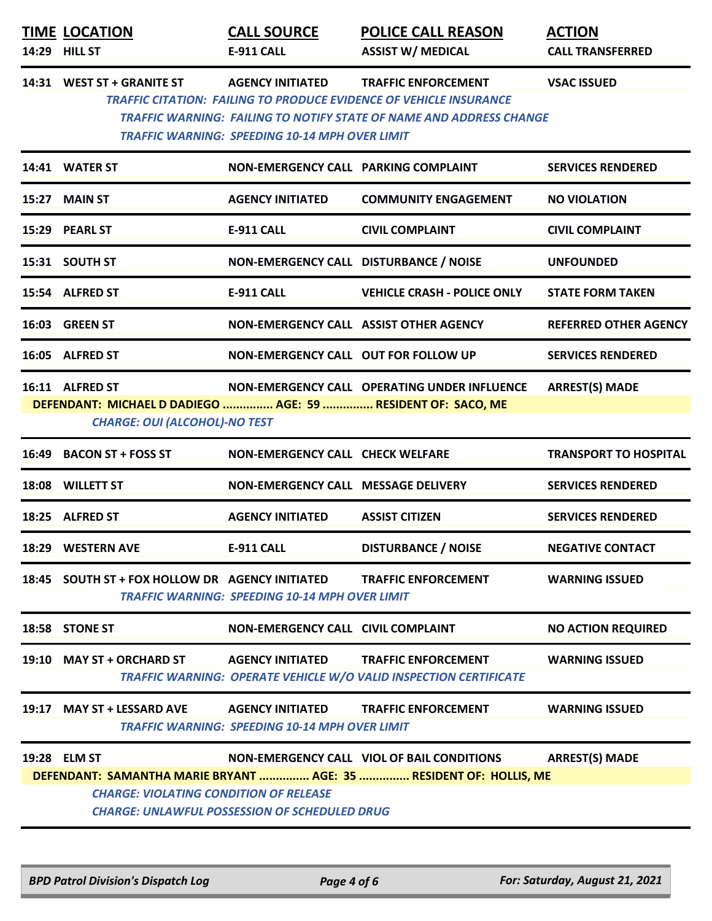| <b>TIME LOCATION</b><br>14:29 HILL ST                                                                                   | <b>CALL SOURCE</b><br>E-911 CALL                                                 | <b>POLICE CALL REASON</b><br><b>ASSIST W/ MEDICAL</b>                                                                                                                                 | <b>ACTION</b><br><b>CALL TRANSFERRED</b> |
|-------------------------------------------------------------------------------------------------------------------------|----------------------------------------------------------------------------------|---------------------------------------------------------------------------------------------------------------------------------------------------------------------------------------|------------------------------------------|
| 14:31 WEST ST + GRANITE ST                                                                                              | <b>AGENCY INITIATED</b><br><b>TRAFFIC WARNING: SPEEDING 10-14 MPH OVER LIMIT</b> | <b>TRAFFIC ENFORCEMENT</b><br><b>TRAFFIC CITATION: FAILING TO PRODUCE EVIDENCE OF VEHICLE INSURANCE</b><br><b>TRAFFIC WARNING: FAILING TO NOTIFY STATE OF NAME AND ADDRESS CHANGE</b> | <b>VSAC ISSUED</b>                       |
| 14:41 WATER ST                                                                                                          | NON-EMERGENCY CALL PARKING COMPLAINT                                             |                                                                                                                                                                                       | <b>SERVICES RENDERED</b>                 |
| 15:27 MAIN ST                                                                                                           | <b>AGENCY INITIATED</b>                                                          | <b>COMMUNITY ENGAGEMENT</b>                                                                                                                                                           | <b>NO VIOLATION</b>                      |
| 15:29 PEARL ST                                                                                                          | <b>E-911 CALL</b>                                                                | <b>CIVIL COMPLAINT</b>                                                                                                                                                                | <b>CIVIL COMPLAINT</b>                   |
| 15:31 SOUTH ST                                                                                                          | NON-EMERGENCY CALL DISTURBANCE / NOISE                                           |                                                                                                                                                                                       | <b>UNFOUNDED</b>                         |
| 15:54 ALFRED ST                                                                                                         | <b>E-911 CALL</b>                                                                | <b>VEHICLE CRASH - POLICE ONLY</b>                                                                                                                                                    | <b>STATE FORM TAKEN</b>                  |
| 16:03 GREEN ST                                                                                                          | NON-EMERGENCY CALL ASSIST OTHER AGENCY                                           |                                                                                                                                                                                       | <b>REFERRED OTHER AGENCY</b>             |
| 16:05 ALFRED ST                                                                                                         | <b>NON-EMERGENCY CALL OUT FOR FOLLOW UP</b>                                      |                                                                                                                                                                                       | <b>SERVICES RENDERED</b>                 |
| 16:11 ALFRED ST<br>DEFENDANT: MICHAEL D DADIEGO  AGE: 59  RESIDENT OF: SACO, ME<br><b>CHARGE: OUI (ALCOHOL)-NO TEST</b> |                                                                                  | NON-EMERGENCY CALL OPERATING UNDER INFLUENCE                                                                                                                                          | <b>ARREST(S) MADE</b>                    |
| 16:49 BACON ST + FOSS ST                                                                                                | NON-EMERGENCY CALL CHECK WELFARE                                                 |                                                                                                                                                                                       | <b>TRANSPORT TO HOSPITAL</b>             |
| 18:08 WILLETT ST                                                                                                        | NON-EMERGENCY CALL MESSAGE DELIVERY                                              |                                                                                                                                                                                       | <b>SERVICES RENDERED</b>                 |
| 18:25 ALFRED ST                                                                                                         | <b>AGENCY INITIATED</b>                                                          | <b>ASSIST CITIZEN</b>                                                                                                                                                                 | <b>SERVICES RENDERED</b>                 |
| 18:29 WESTERN AVE                                                                                                       | <b>E-911 CALL</b>                                                                | <b>DISTURBANCE / NOISE</b>                                                                                                                                                            | <b>NEGATIVE CONTACT</b>                  |
| 18:45 SOUTH ST + FOX HOLLOW DR AGENCY INITIATED                                                                         | <b>TRAFFIC WARNING: SPEEDING 10-14 MPH OVER LIMIT</b>                            | <b>TRAFFIC ENFORCEMENT</b>                                                                                                                                                            | <b>WARNING ISSUED</b>                    |
| 18:58 STONE ST                                                                                                          | NON-EMERGENCY CALL CIVIL COMPLAINT                                               |                                                                                                                                                                                       | <b>NO ACTION REQUIRED</b>                |
| 19:10 MAY ST + ORCHARD ST AGENCY INITIATED                                                                              |                                                                                  | <b>TRAFFIC ENFORCEMENT</b><br><b>TRAFFIC WARNING: OPERATE VEHICLE W/O VALID INSPECTION CERTIFICATE</b>                                                                                | <b>WARNING ISSUED</b>                    |
| 19:17 MAY ST + LESSARD AVE AGENCY INITIATED                                                                             | <b>TRAFFIC WARNING: SPEEDING 10-14 MPH OVER LIMIT</b>                            | <b>TRAFFIC ENFORCEMENT</b>                                                                                                                                                            | <b>WARNING ISSUED</b>                    |
| 19:28 ELM ST                                                                                                            |                                                                                  | NON-EMERGENCY CALL VIOL OF BAIL CONDITIONS<br>DEFENDANT: SAMANTHA MARIE BRYANT  AGE: 35  RESIDENT OF: HOLLIS, ME                                                                      | <b>ARREST(S) MADE</b>                    |
| <b>CHARGE: VIOLATING CONDITION OF RELEASE</b>                                                                           | <b>CHARGE: UNLAWFUL POSSESSION OF SCHEDULED DRUG</b>                             |                                                                                                                                                                                       |                                          |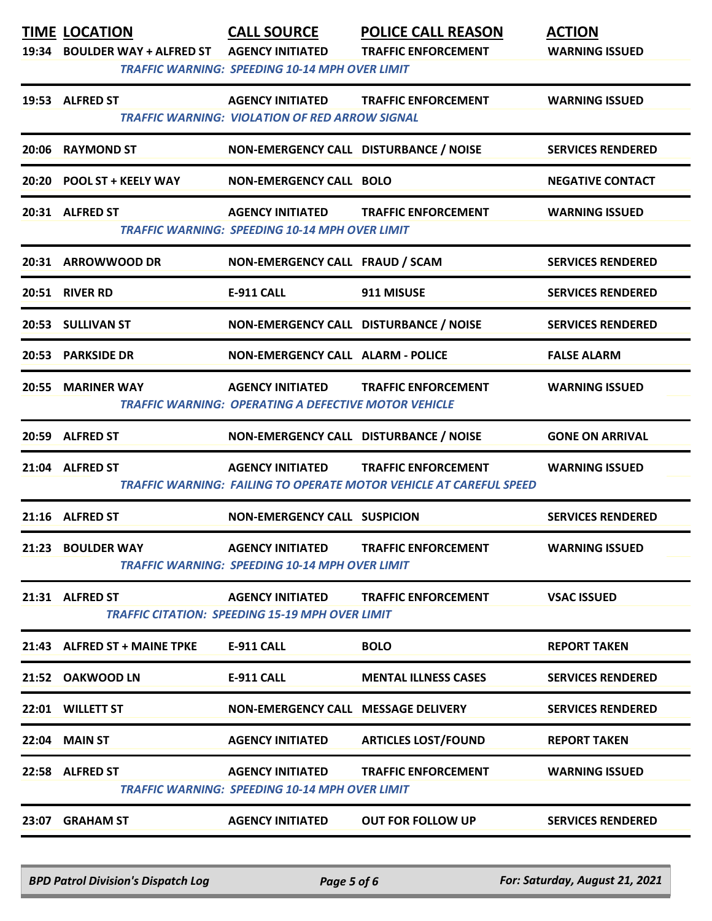| 19:53 ALFRED ST<br>20:31 ALFRED ST | 20:06 RAYMOND ST<br>20:20 POOL ST + KEELY WAY<br>20:31 ARROWWOOD DR | <b>AGENCY INITIATED</b><br><b>TRAFFIC WARNING: VIOLATION OF RED ARROW SIGNAL</b><br>NON-EMERGENCY CALL DISTURBANCE / NOISE<br><b>NON-EMERGENCY CALL BOLO</b><br><b>AGENCY INITIATED</b><br><b>TRAFFIC WARNING: SPEEDING 10-14 MPH OVER LIMIT</b><br>NON-EMERGENCY CALL FRAUD / SCAM | <b>TRAFFIC ENFORCEMENT</b><br><b>TRAFFIC ENFORCEMENT</b>                                                | <b>WARNING ISSUED</b><br><b>SERVICES RENDERED</b><br><b>NEGATIVE CONTACT</b><br><b>WARNING ISSUED</b> |
|------------------------------------|---------------------------------------------------------------------|-------------------------------------------------------------------------------------------------------------------------------------------------------------------------------------------------------------------------------------------------------------------------------------|---------------------------------------------------------------------------------------------------------|-------------------------------------------------------------------------------------------------------|
|                                    |                                                                     |                                                                                                                                                                                                                                                                                     |                                                                                                         |                                                                                                       |
|                                    |                                                                     |                                                                                                                                                                                                                                                                                     |                                                                                                         |                                                                                                       |
|                                    |                                                                     |                                                                                                                                                                                                                                                                                     |                                                                                                         |                                                                                                       |
|                                    |                                                                     |                                                                                                                                                                                                                                                                                     |                                                                                                         |                                                                                                       |
|                                    |                                                                     |                                                                                                                                                                                                                                                                                     |                                                                                                         | <b>SERVICES RENDERED</b>                                                                              |
| 20:51 RIVER RD                     |                                                                     | E-911 CALL                                                                                                                                                                                                                                                                          | 911 MISUSE                                                                                              | <b>SERVICES RENDERED</b>                                                                              |
| 20:53 SULLIVAN ST                  |                                                                     | NON-EMERGENCY CALL DISTURBANCE / NOISE                                                                                                                                                                                                                                              |                                                                                                         | <b>SERVICES RENDERED</b>                                                                              |
| 20:53                              | <b>PARKSIDE DR</b>                                                  | <b>NON-EMERGENCY CALL ALARM - POLICE</b>                                                                                                                                                                                                                                            |                                                                                                         | <b>FALSE ALARM</b>                                                                                    |
|                                    | 20:55 MARINER WAY                                                   | <b>AGENCY INITIATED</b><br><b>TRAFFIC WARNING: OPERATING A DEFECTIVE MOTOR VEHICLE</b>                                                                                                                                                                                              | <b>TRAFFIC ENFORCEMENT</b>                                                                              | <b>WARNING ISSUED</b>                                                                                 |
| 20:59 ALFRED ST                    |                                                                     | NON-EMERGENCY CALL DISTURBANCE / NOISE                                                                                                                                                                                                                                              |                                                                                                         | <b>GONE ON ARRIVAL</b>                                                                                |
| 21:04 ALFRED ST                    |                                                                     | <b>AGENCY INITIATED</b>                                                                                                                                                                                                                                                             | <b>TRAFFIC ENFORCEMENT</b><br><b>TRAFFIC WARNING: FAILING TO OPERATE MOTOR VEHICLE AT CAREFUL SPEED</b> | <b>WARNING ISSUED</b>                                                                                 |
| 21:16 ALFRED ST                    |                                                                     | <b>NON-EMERGENCY CALL SUSPICION</b>                                                                                                                                                                                                                                                 |                                                                                                         | <b>SERVICES RENDERED</b>                                                                              |
|                                    | 21:23 BOULDER WAY                                                   | <b>AGENCY INITIATED</b><br><b>TRAFFIC WARNING: SPEEDING 10-14 MPH OVER LIMIT</b>                                                                                                                                                                                                    | <b>TRAFFIC ENFORCEMENT</b>                                                                              | <b>WARNING ISSUED</b>                                                                                 |
| 21:31 ALFRED ST                    |                                                                     | <b>AGENCY INITIATED</b><br><b>TRAFFIC CITATION: SPEEDING 15-19 MPH OVER LIMIT</b>                                                                                                                                                                                                   | <b>TRAFFIC ENFORCEMENT</b>                                                                              | <b>VSAC ISSUED</b>                                                                                    |
|                                    | 21:43 ALFRED ST + MAINE TPKE                                        | <b>E-911 CALL</b>                                                                                                                                                                                                                                                                   | <b>BOLO</b>                                                                                             | <b>REPORT TAKEN</b>                                                                                   |
|                                    | 21:52 OAKWOOD LN                                                    | <b>E-911 CALL</b>                                                                                                                                                                                                                                                                   | <b>MENTAL ILLNESS CASES</b>                                                                             | <b>SERVICES RENDERED</b>                                                                              |
| 22:01 WILLETT ST                   |                                                                     | NON-EMERGENCY CALL MESSAGE DELIVERY                                                                                                                                                                                                                                                 |                                                                                                         | <b>SERVICES RENDERED</b>                                                                              |
| <b>22:04 MAIN ST</b>               |                                                                     | <b>AGENCY INITIATED</b>                                                                                                                                                                                                                                                             | <b>ARTICLES LOST/FOUND</b>                                                                              | <b>REPORT TAKEN</b>                                                                                   |
| 22:58 ALFRED ST                    |                                                                     | <b>AGENCY INITIATED</b><br><b>TRAFFIC WARNING: SPEEDING 10-14 MPH OVER LIMIT</b>                                                                                                                                                                                                    | <b>TRAFFIC ENFORCEMENT</b>                                                                              | <b>WARNING ISSUED</b>                                                                                 |
| 23:07 GRAHAM ST                    |                                                                     | <b>AGENCY INITIATED</b>                                                                                                                                                                                                                                                             | <b>OUT FOR FOLLOW UP</b>                                                                                | <b>SERVICES RENDERED</b>                                                                              |